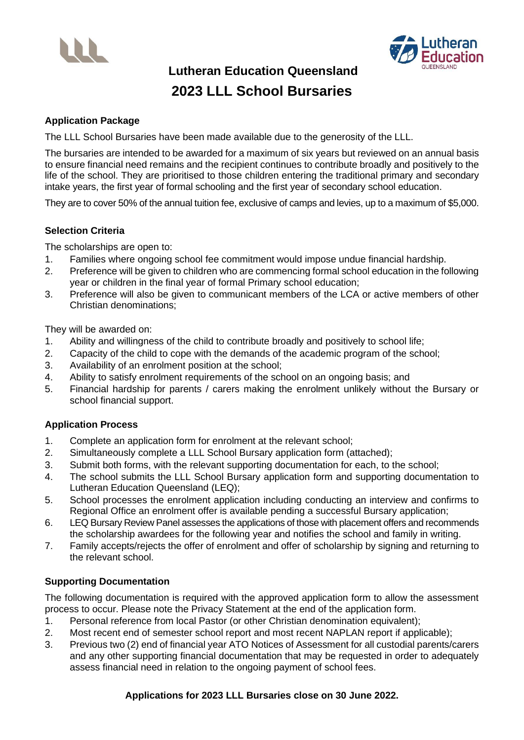



**Lutheran Education Queensland 2023 LLL School Bursaries**

### **Application Package**

The LLL School Bursaries have been made available due to the generosity of the LLL.

The bursaries are intended to be awarded for a maximum of six years but reviewed on an annual basis to ensure financial need remains and the recipient continues to contribute broadly and positively to the life of the school. They are prioritised to those children entering the traditional primary and secondary intake years, the first year of formal schooling and the first year of secondary school education.

They are to cover 50% of the annual tuition fee, exclusive of camps and levies, up to a maximum of \$5,000.

## **Selection Criteria**

The scholarships are open to:

- 1. Families where ongoing school fee commitment would impose undue financial hardship.
- 2. Preference will be given to children who are commencing formal school education in the following year or children in the final year of formal Primary school education;
- 3. Preference will also be given to communicant members of the LCA or active members of other Christian denominations;

They will be awarded on:

- 1. Ability and willingness of the child to contribute broadly and positively to school life;
- 2. Capacity of the child to cope with the demands of the academic program of the school;
- 3. Availability of an enrolment position at the school;
- 4. Ability to satisfy enrolment requirements of the school on an ongoing basis; and
- 5. Financial hardship for parents / carers making the enrolment unlikely without the Bursary or school financial support.

## **Application Process**

- 1. Complete an application form for enrolment at the relevant school;
- 2. Simultaneously complete a LLL School Bursary application form (attached);
- 3. Submit both forms, with the relevant supporting documentation for each, to the school;
- 4. The school submits the LLL School Bursary application form and supporting documentation to Lutheran Education Queensland (LEQ);
- 5. School processes the enrolment application including conducting an interview and confirms to Regional Office an enrolment offer is available pending a successful Bursary application;
- 6. LEQ Bursary Review Panel assesses the applications of those with placement offers and recommends the scholarship awardees for the following year and notifies the school and family in writing.
- 7. Family accepts/rejects the offer of enrolment and offer of scholarship by signing and returning to the relevant school.

## **Supporting Documentation**

The following documentation is required with the approved application form to allow the assessment process to occur. Please note the Privacy Statement at the end of the application form.

- 1. Personal reference from local Pastor (or other Christian denomination equivalent);
- 2. Most recent end of semester school report and most recent NAPLAN report if applicable);
- 3. Previous two (2) end of financial year ATO Notices of Assessment for all custodial parents/carers and any other supporting financial documentation that may be requested in order to adequately assess financial need in relation to the ongoing payment of school fees.

#### **Applications for 2023 LLL Bursaries close on 30 June 2022.**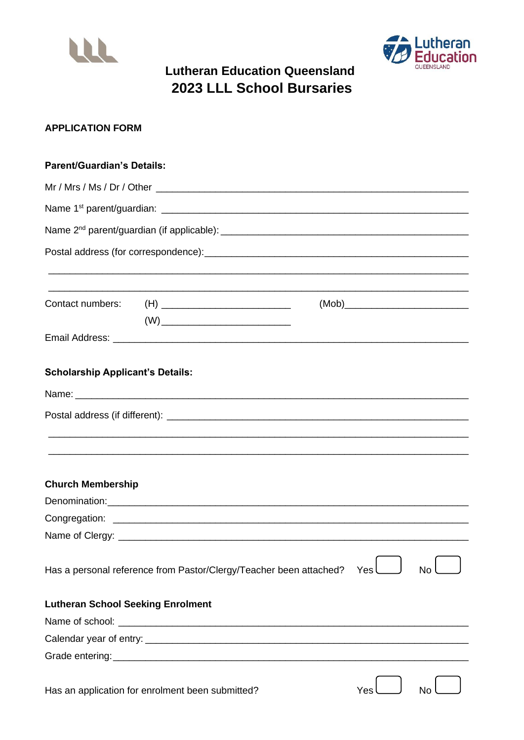



# **Lutheran Education Queensland** 2023 LLL School Bursaries

# **APPLICATION FORM**

| <b>Parent/Guardian's Details:</b>        |                                                                                                                                                                                                                                                                                                                                                    |     |    |  |  |
|------------------------------------------|----------------------------------------------------------------------------------------------------------------------------------------------------------------------------------------------------------------------------------------------------------------------------------------------------------------------------------------------------|-----|----|--|--|
|                                          |                                                                                                                                                                                                                                                                                                                                                    |     |    |  |  |
|                                          |                                                                                                                                                                                                                                                                                                                                                    |     |    |  |  |
|                                          |                                                                                                                                                                                                                                                                                                                                                    |     |    |  |  |
|                                          |                                                                                                                                                                                                                                                                                                                                                    |     |    |  |  |
|                                          |                                                                                                                                                                                                                                                                                                                                                    |     |    |  |  |
|                                          |                                                                                                                                                                                                                                                                                                                                                    |     |    |  |  |
|                                          | Contact numbers: (H) ___________________________                                                                                                                                                                                                                                                                                                   |     |    |  |  |
|                                          | $(W) \begin{picture}(150,10) \put(0,0){\line(1,0){10}} \put(15,0){\line(1,0){10}} \put(15,0){\line(1,0){10}} \put(15,0){\line(1,0){10}} \put(15,0){\line(1,0){10}} \put(15,0){\line(1,0){10}} \put(15,0){\line(1,0){10}} \put(15,0){\line(1,0){10}} \put(15,0){\line(1,0){10}} \put(15,0){\line(1,0){10}} \put(15,0){\line(1,0){10}} \put(15,0){\$ |     |    |  |  |
|                                          |                                                                                                                                                                                                                                                                                                                                                    |     |    |  |  |
| <b>Scholarship Applicant's Details:</b>  |                                                                                                                                                                                                                                                                                                                                                    |     |    |  |  |
|                                          |                                                                                                                                                                                                                                                                                                                                                    |     |    |  |  |
|                                          |                                                                                                                                                                                                                                                                                                                                                    |     |    |  |  |
|                                          |                                                                                                                                                                                                                                                                                                                                                    |     |    |  |  |
|                                          |                                                                                                                                                                                                                                                                                                                                                    |     |    |  |  |
|                                          |                                                                                                                                                                                                                                                                                                                                                    |     |    |  |  |
| <b>Church Membership</b>                 |                                                                                                                                                                                                                                                                                                                                                    |     |    |  |  |
|                                          |                                                                                                                                                                                                                                                                                                                                                    |     |    |  |  |
|                                          |                                                                                                                                                                                                                                                                                                                                                    |     |    |  |  |
|                                          |                                                                                                                                                                                                                                                                                                                                                    |     |    |  |  |
|                                          | Has a personal reference from Pastor/Clergy/Teacher been attached?                                                                                                                                                                                                                                                                                 | Yes | N٥ |  |  |
| <b>Lutheran School Seeking Enrolment</b> |                                                                                                                                                                                                                                                                                                                                                    |     |    |  |  |
|                                          |                                                                                                                                                                                                                                                                                                                                                    |     |    |  |  |
|                                          |                                                                                                                                                                                                                                                                                                                                                    |     |    |  |  |
|                                          |                                                                                                                                                                                                                                                                                                                                                    |     |    |  |  |
|                                          | Has an application for enrolment been submitted?                                                                                                                                                                                                                                                                                                   | Yes |    |  |  |